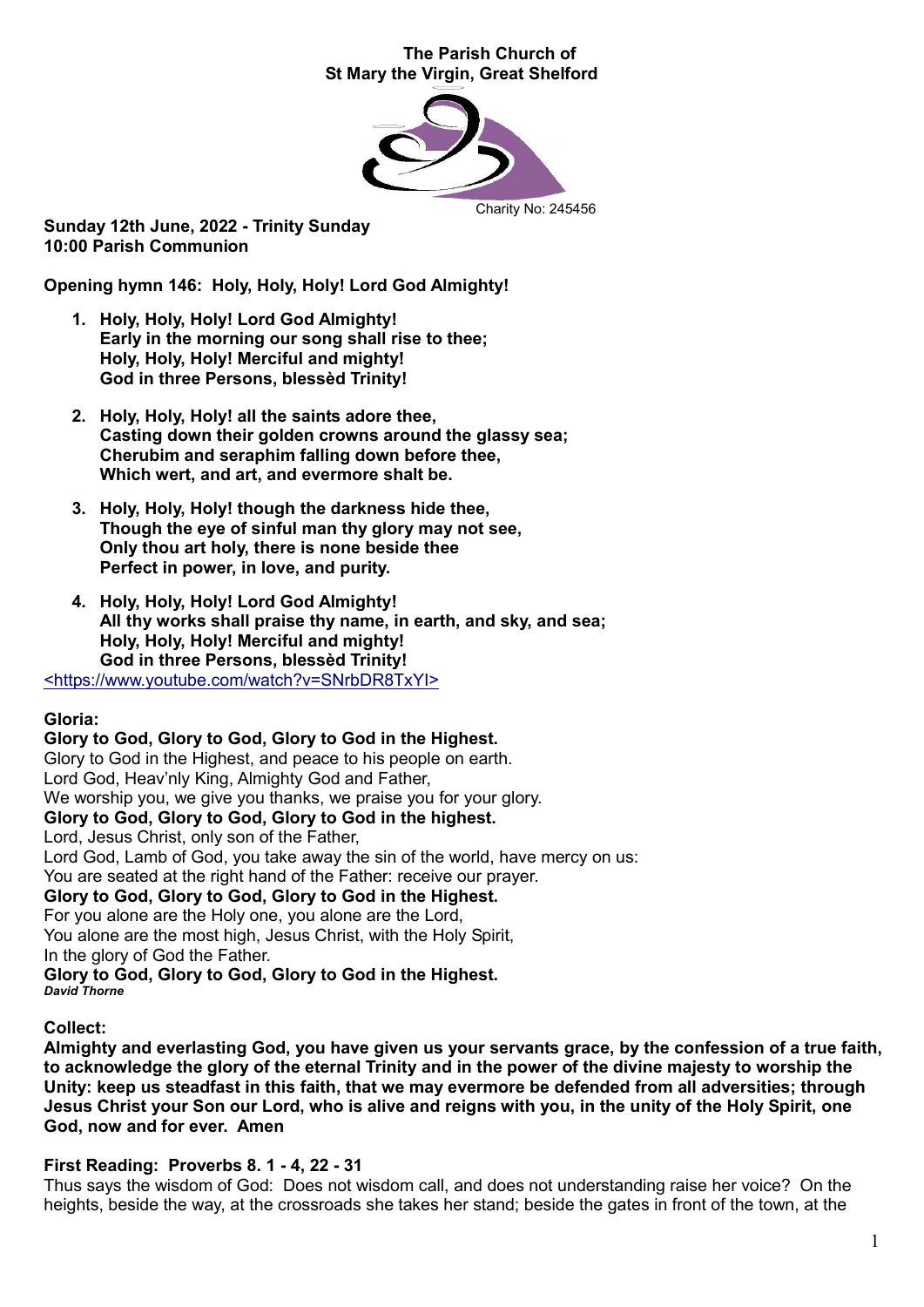#### The Parish Church of St Mary the Virgin, Great Shelford



Sunday 12th June, 2022 - Trinity Sunday 10:00 Parish Communion

Opening hymn 146: Holy, Holy, Holy! Lord God Almighty!

- 1. Holy, Holy, Holy! Lord God Almighty! Early in the morning our song shall rise to thee; Holy, Holy, Holy! Merciful and mighty! God in three Persons, blessèd Trinity!
- 2. Holy, Holy, Holy! all the saints adore thee, Casting down their golden crowns around the glassy sea; Cherubim and seraphim falling down before thee, Which wert, and art, and evermore shalt be.
- 3. Holy, Holy, Holy! though the darkness hide thee, Though the eye of sinful man thy glory may not see, Only thou art holy, there is none beside thee Perfect in power, in love, and purity.
- 4. Holy, Holy, Holy! Lord God Almighty! All thy works shall praise thy name, in earth, and sky, and sea; Holy, Holy, Holy! Merciful and mighty! God in three Persons, blessèd Trinity!

<https://www.youtube.com/watch?v=SNrbDR8TxYI>

# Gloria:

#### Glory to God, Glory to God, Glory to God in the Highest.

Glory to God in the Highest, and peace to his people on earth. Lord God, Heav'nly King, Almighty God and Father, We worship you, we give you thanks, we praise you for your glory. Glory to God, Glory to God, Glory to God in the highest. Lord, Jesus Christ, only son of the Father, Lord God, Lamb of God, you take away the sin of the world, have mercy on us: You are seated at the right hand of the Father: receive our prayer. Glory to God, Glory to God, Glory to God in the Highest. For you alone are the Holy one, you alone are the Lord, You alone are the most high, Jesus Christ, with the Holy Spirit, In the glory of God the Father. Glory to God, Glory to God, Glory to God in the Highest. *David Thorne*

#### Collect:

Almighty and everlasting God, you have given us your servants grace, by the confession of a true faith, to acknowledge the glory of the eternal Trinity and in the power of the divine majesty to worship the Unity: keep us steadfast in this faith, that we may evermore be defended from all adversities; through Jesus Christ your Son our Lord, who is alive and reigns with you, in the unity of the Holy Spirit, one God, now and for ever. Amen

#### First Reading: Proverbs 8. 1 - 4, 22 - 31

Thus says the wisdom of God: Does not wisdom call, and does not understanding raise her voice? On the heights, beside the way, at the crossroads she takes her stand; beside the gates in front of the town, at the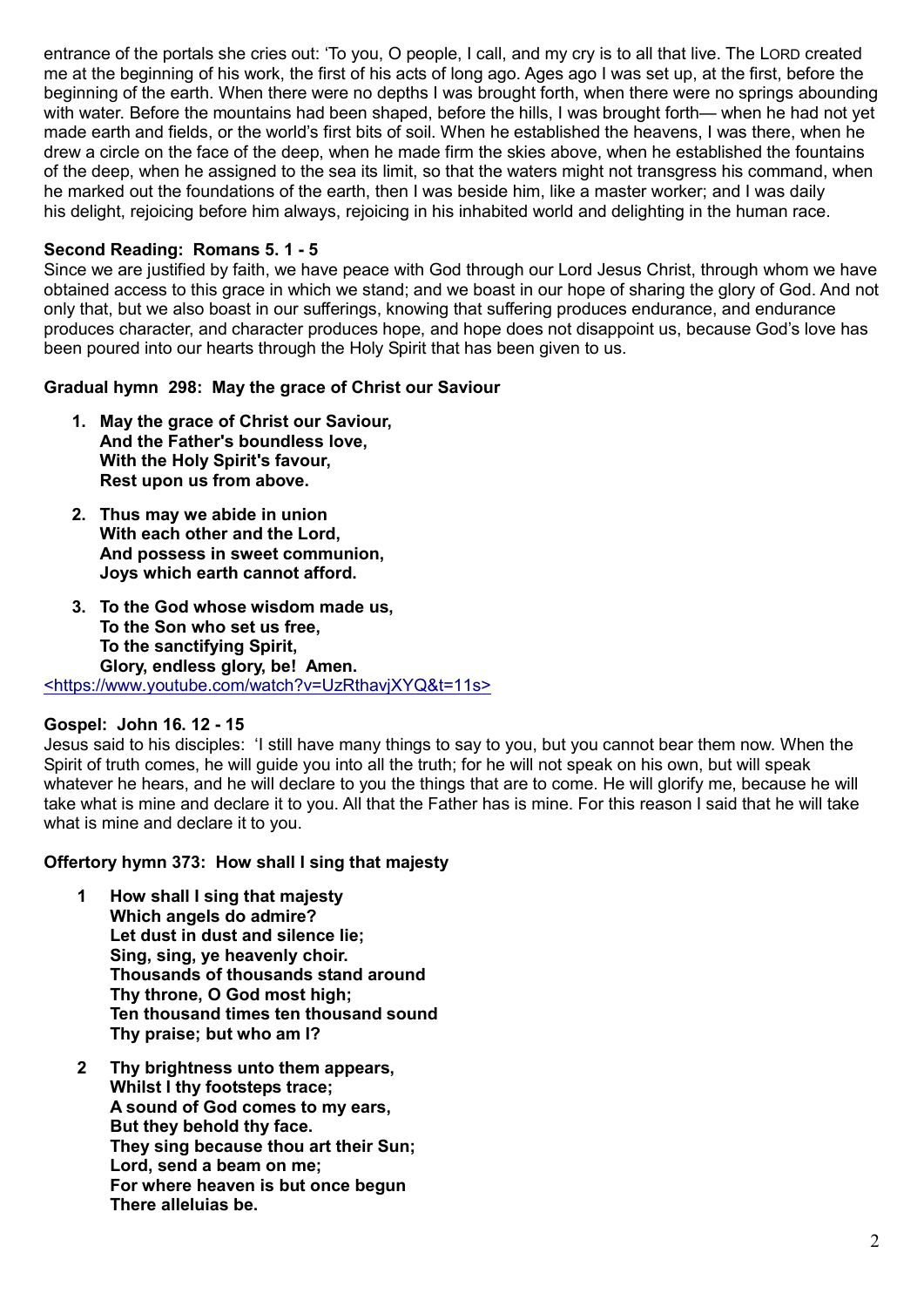entrance of the portals she cries out: 'To you, O people, I call, and my cry is to all that live. The LORD created me at the beginning of his work, the first of his acts of long ago. Ages ago I was set up, at the first, before the beginning of the earth. When there were no depths I was brought forth, when there were no springs abounding with water. Before the mountains had been shaped, before the hills, I was brought forth— when he had not yet made earth and fields, or the world's first bits of soil. When he established the heavens, I was there, when he drew a circle on the face of the deep, when he made firm the skies above, when he established the fountains of the deep, when he assigned to the sea its limit, so that the waters might not transgress his command, when he marked out the foundations of the earth, then I was beside him, like a master worker; and I was daily his delight, rejoicing before him always, rejoicing in his inhabited world and delighting in the human race.

## Second Reading: Romans 5. 1 - 5

Since we are justified by faith, we have peace with God through our Lord Jesus Christ, through whom we have obtained access to this grace in which we stand; and we boast in our hope of sharing the glory of God. And not only that, but we also boast in our sufferings, knowing that suffering produces endurance, and endurance produces character, and character produces hope, and hope does not disappoint us, because God's love has been poured into our hearts through the Holy Spirit that has been given to us.

### Gradual hymn 298: May the grace of Christ our Saviour

- 1. May the grace of Christ our Saviour, And the Father's boundless love, With the Holy Spirit's favour, Rest upon us from above.
- 2. Thus may we abide in union With each other and the Lord, And possess in sweet communion, Joys which earth cannot afford.
- 3. To the God whose wisdom made us, To the Son who set us free, To the sanctifying Spirit, Glory, endless glory, be! Amen.

<https://www.youtube.com/watch?v=UzRthavjXYQ&t=11s>

#### Gospel: John 16. 12 - 15

Jesus said to his disciples: 'I still have many things to say to you, but you cannot bear them now. When the Spirit of truth comes, he will guide you into all the truth; for he will not speak on his own, but will speak whatever he hears, and he will declare to you the things that are to come. He will glorify me, because he will take what is mine and declare it to you. All that the Father has is mine. For this reason I said that he will take what is mine and declare it to you.

#### Offertory hymn 373: How shall I sing that majesty

- 1 How shall I sing that majesty Which angels do admire? Let dust in dust and silence lie; Sing, sing, ye heavenly choir. Thousands of thousands stand around Thy throne, O God most high; Ten thousand times ten thousand sound Thy praise; but who am I?
- 2 Thy brightness unto them appears, Whilst I thy footsteps trace: A sound of God comes to my ears, But they behold thy face. They sing because thou art their Sun; Lord, send a beam on me; For where heaven is but once begun There alleluias be.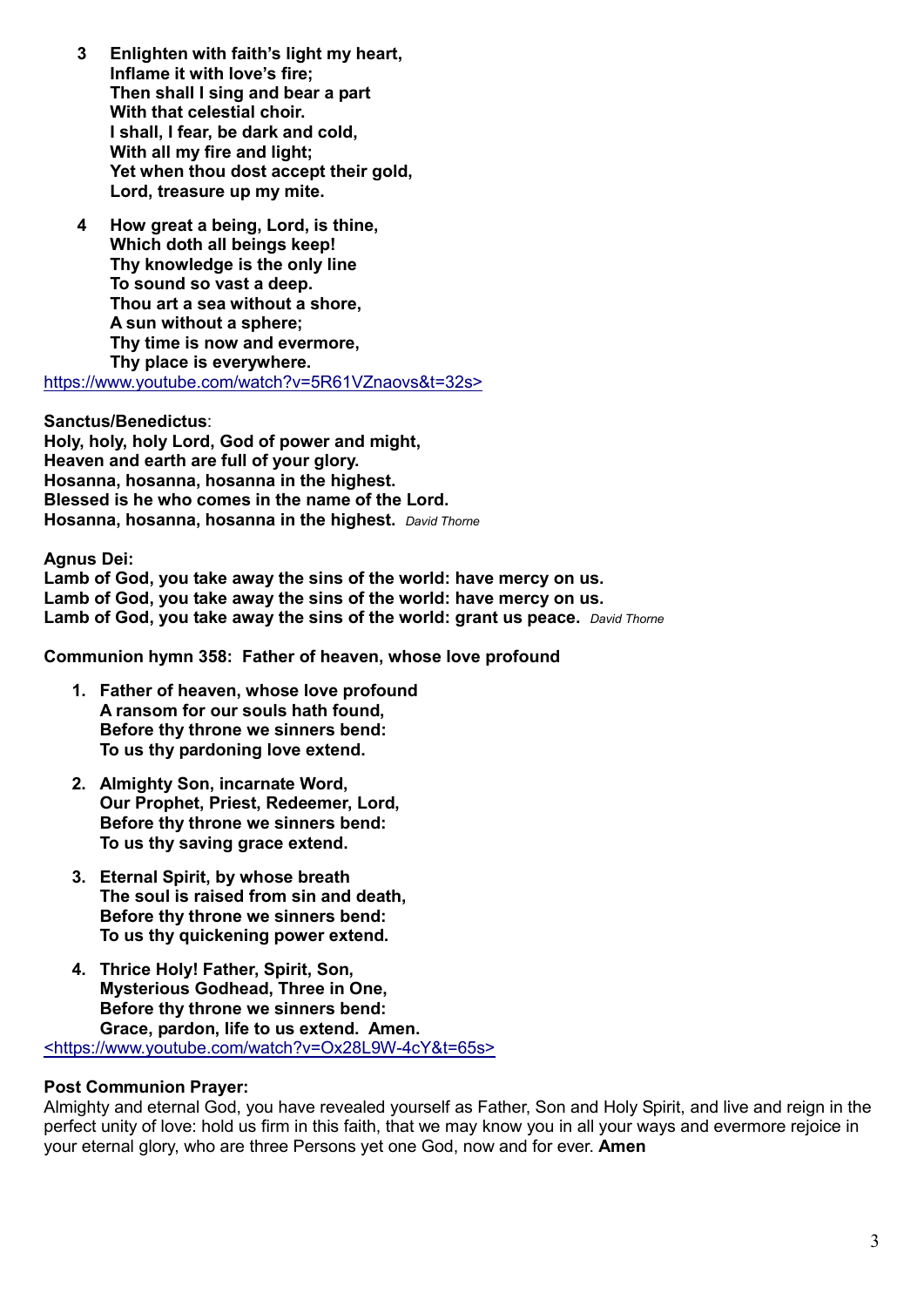- 3 Enlighten with faith's light my heart, Inflame it with love's fire; Then shall I sing and bear a part With that celestial choir. I shall, I fear, be dark and cold, With all my fire and light; Yet when thou dost accept their gold, Lord, treasure up my mite.
- 4 How great a being, Lord, is thine, Which doth all beings keep! Thy knowledge is the only line To sound so vast a deep. Thou art a sea without a shore, A sun without a sphere; Thy time is now and evermore, Thy place is everywhere.

https://www.youtube.com/watch?v=5R61VZnaovs&t=32s>

Sanctus/Benedictus: Holy, holy, holy Lord, God of power and might, Heaven and earth are full of your glory. Hosanna, hosanna, hosanna in the highest. Blessed is he who comes in the name of the Lord. Hosanna, hosanna, hosanna in the highest. *David Thorne*

Agnus Dei:

Lamb of God, you take away the sins of the world: have mercy on us. Lamb of God, you take away the sins of the world: have mercy on us. Lamb of God, you take away the sins of the world: grant us peace. *David Thorne*

Communion hymn 358: Father of heaven, whose love profound

- 1. Father of heaven, whose love profound A ransom for our souls hath found, Before thy throne we sinners bend: To us thy pardoning love extend.
- 2. Almighty Son, incarnate Word, Our Prophet, Priest, Redeemer, Lord, Before thy throne we sinners bend: To us thy saving grace extend.
- 3. Eternal Spirit, by whose breath The soul is raised from sin and death, Before thy throne we sinners bend: To us thy quickening power extend.
- 4. Thrice Holy! Father, Spirit, Son, Mysterious Godhead, Three in One, Before thy throne we sinners bend: Grace, pardon, life to us extend. Amen.

<https://www.youtube.com/watch?v=Ox28L9W-4cY&t=65s>

#### Post Communion Prayer:

Almighty and eternal God, you have revealed yourself as Father, Son and Holy Spirit, and live and reign in the perfect unity of love: hold us firm in this faith, that we may know you in all your ways and evermore rejoice in your eternal glory, who are three Persons yet one God, now and for ever. **Amen**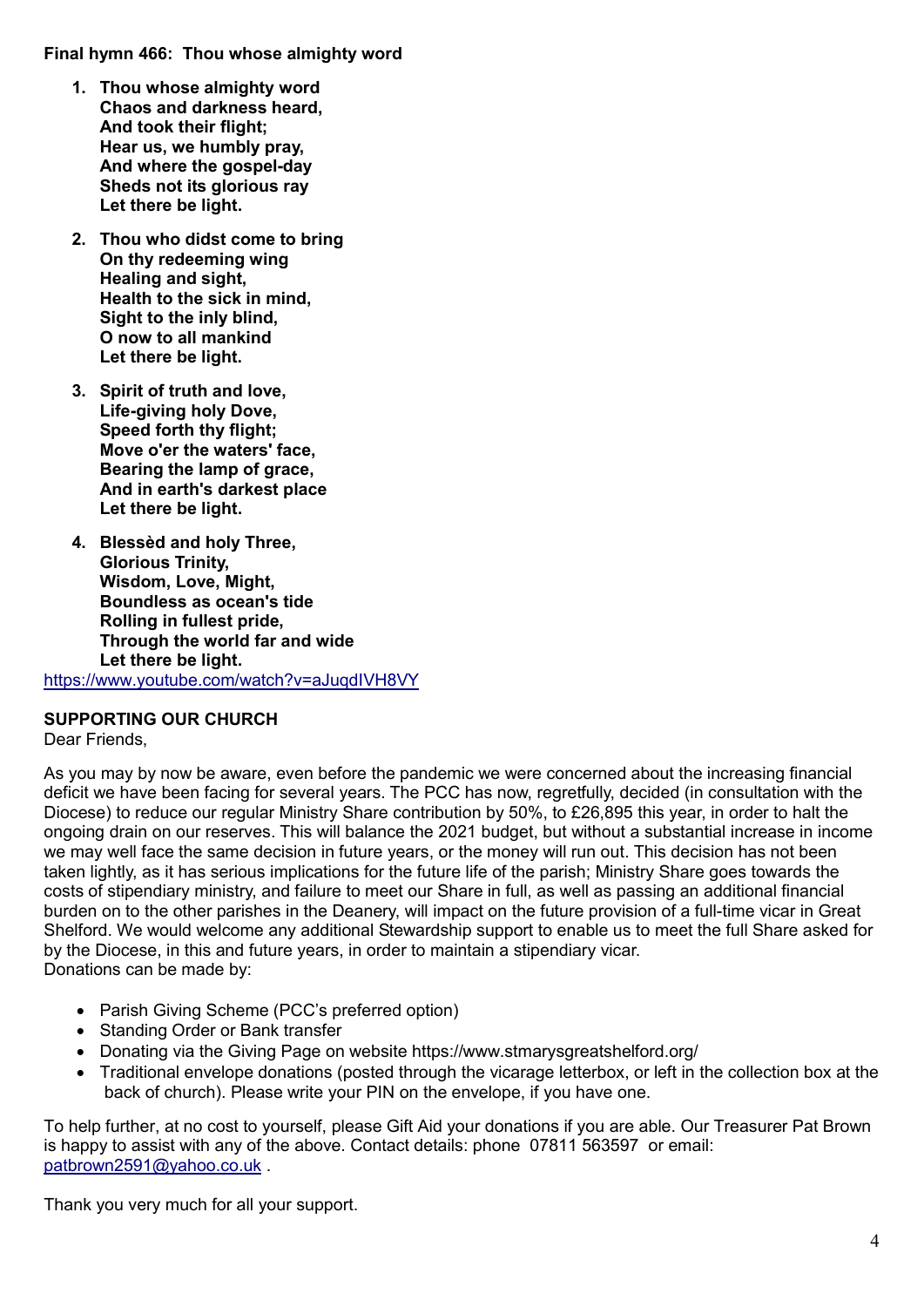## Final hymn 466: Thou whose almighty word

- 1. Thou whose almighty word Chaos and darkness heard, And took their flight; Hear us, we humbly pray, And where the gospel-day Sheds not its glorious ray Let there be light.
- 2. Thou who didst come to bring On thy redeeming wing Healing and sight, Health to the sick in mind, Sight to the inly blind, O now to all mankind Let there be light.
- 3. Spirit of truth and love, Life-giving holy Dove, Speed forth thy flight; Move o'er the waters' face, Bearing the lamp of grace, And in earth's darkest place Let there be light.
- 4. Blessèd and holy Three, Glorious Trinity, Wisdom, Love, Might, Boundless as ocean's tide Rolling in fullest pride, Through the world far and wide Let there be light.

https://www.youtube.com/watch?v=aJuqdIVH8VY

# SUPPORTING OUR CHURCH

Dear Friends,

As you may by now be aware, even before the pandemic we were concerned about the increasing financial deficit we have been facing for several years. The PCC has now, regretfully, decided (in consultation with the Diocese) to reduce our regular Ministry Share contribution by 50%, to £26,895 this year, in order to halt the ongoing drain on our reserves. This will balance the 2021 budget, but without a substantial increase in income we may well face the same decision in future years, or the money will run out. This decision has not been taken lightly, as it has serious implications for the future life of the parish; Ministry Share goes towards the costs of stipendiary ministry, and failure to meet our Share in full, as well as passing an additional financial burden on to the other parishes in the Deanery, will impact on the future provision of a full-time vicar in Great Shelford. We would welcome any additional Stewardship support to enable us to meet the full Share asked for by the Diocese, in this and future years, in order to maintain a stipendiary vicar. Donations can be made by:

- Parish Giving Scheme (PCC's preferred option)
- Standing Order or Bank transfer
- Donating via the Giving Page on website https://www.stmarysgreatshelford.org/
- Traditional envelope donations (posted through the vicarage letterbox, or left in the collection box at the back of church). Please write your PIN on the envelope, if you have one.

To help further, at no cost to yourself, please Gift Aid your donations if you are able. Our Treasurer Pat Brown is happy to assist with any of the above. Contact details: phone 07811 563597 or email: [patbrown2591@yahoo.co.uk](mailto:patbrown2591@yahoo.co.uk) .

Thank you very much for all your support.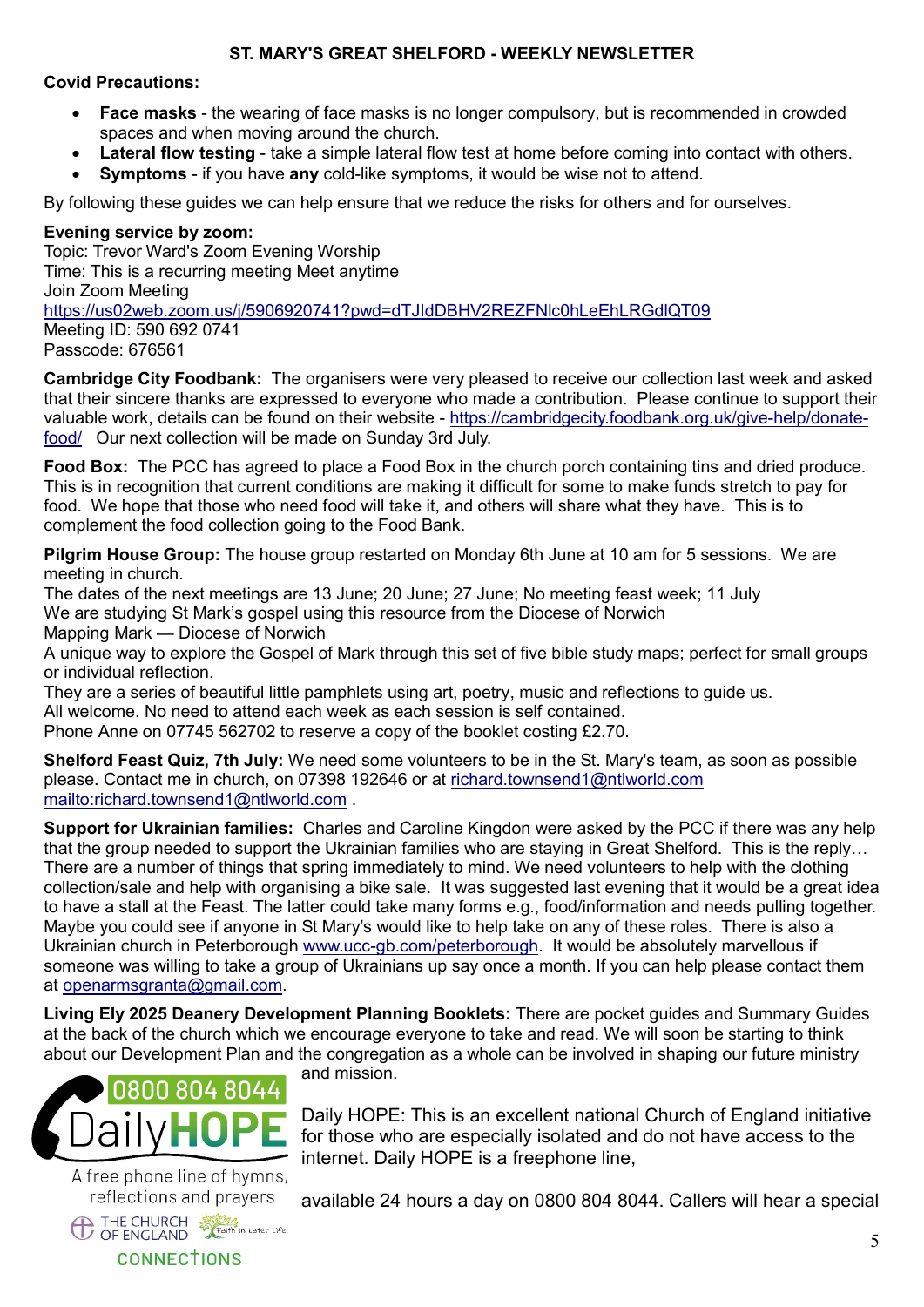# ST. MARY'S GREAT SHELFORD - WEEKLY NEWSLETTER

## Covid Precautions:

- Face masks the wearing of face masks is no longer compulsory, but is recommended in crowded spaces and when moving around the church.
- Lateral flow testing take a simple lateral flow test at home before coming into contact with others.
- Symptoms if you have any cold-like symptoms, it would be wise not to attend.

By following these guides we can help ensure that we reduce the risks for others and for ourselves.

## Evening service by zoom:

Topic: Trevor Ward's Zoom Evening Worship Time: This is a recurring meeting Meet anytime Join Zoom Meeting https://us02web.zoom.us/j/5906920741?pwd=dTJIdDBHV2REZFNlc0hLeEhLRGdlQT09 Meeting ID: 590 692 0741 Passcode: 676561

Cambridge City Foodbank: The organisers were very pleased to receive our collection last week and asked that their sincere thanks are expressed to everyone who made a contribution. Please continue to support their valuable work, details can be found on their website - https://cambridgecity.foodbank.org.uk/give-help/donatefood/ Our next collection will be made on Sunday 3rd July.

Food Box: The PCC has agreed to place a Food Box in the church porch containing tins and dried produce. This is in recognition that current conditions are making it difficult for some to make funds stretch to pay for food. We hope that those who need food will take it, and others will share what they have. This is to complement the food collection going to the Food Bank.

Pilgrim House Group: The house group restarted on Monday 6th June at 10 am for 5 sessions. We are meeting in church.

The dates of the next meetings are 13 June; 20 June; 27 June; No meeting feast week; 11 July We are studying St Mark's gospel using this resource from the Diocese of Norwich Mapping Mark — Diocese of Norwich

A unique way to explore the Gospel of Mark through this set of five bible study maps; perfect for small groups or individual reflection.

They are a series of beautiful little pamphlets using art, poetry, music and reflections to guide us. All welcome. No need to attend each week as each session is self contained. Phone Anne on 07745 562702 to reserve a copy of the booklet costing £2.70.

Shelford Feast Quiz, 7th July: We need some volunteers to be in the St. Mary's team, as soon as possible please. Contact me in church, on 07398 192646 or at [richard.townsend1@ntlworld.com](mailto:richard.townsend1@ntlworld.com) <mailto:richard.townsend1@ntlworld.com> .

Support for Ukrainian families: Charles and Caroline Kingdon were asked by the PCC if there was any help that the group needed to support the Ukrainian families who are staying in Great Shelford. This is the reply… There are a number of things that spring immediately to mind. We need volunteers to help with the clothing collection/sale and help with organising a bike sale. It was suggested last evening that it would be a great idea to have a stall at the Feast. The latter could take many forms e.g., food/information and needs pulling together. Maybe you could see if anyone in St Mary's would like to help take on any of these roles. There is also a Ukrainian church in Peterborough [www.ucc-gb.com/peterborough](http://www.ucc-gb.com/peterborough). It would be absolutely marvellous if someone was willing to take a group of Ukrainians up say once a month. If you can help please contact them at [openarmsgranta@gmail.com](mailto:openarmsgranta@gmail.com).

Living Ely 2025 Deanery Development Planning Booklets: There are pocket guides and Summary Guides at the back of the church which we encourage everyone to take and read. We will soon be starting to think about our Development Plan and the congregation as a whole can be involved in shaping our future ministry



A free phone line of hymns, reflections and prayers THE CHURCH Straith in Later Life **CONNECTIONS** 

and mission.

Daily HOPE: This is an excellent national Church of England initiative for those who are especially isolated and do not have access to the internet. Daily HOPE is a freephone line,

available 24 hours a day on 0800 804 8044. Callers will hear a special